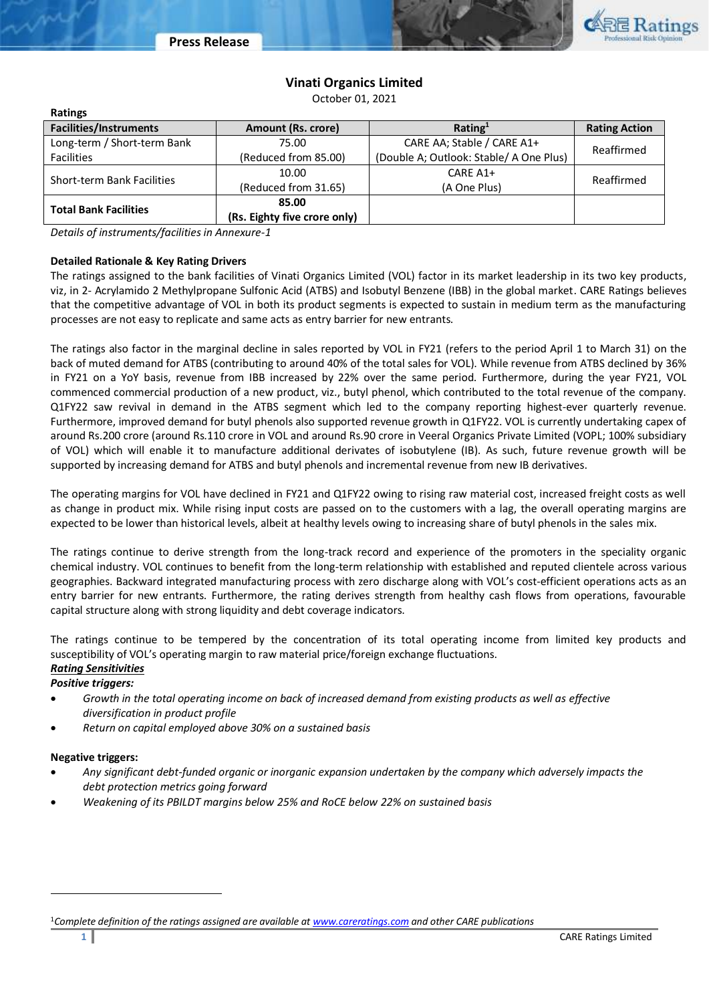

# **Vinati Organics Limited**

October 01, 2021

| <b>Ratings</b>                    |                                                                 |                            |                      |  |
|-----------------------------------|-----------------------------------------------------------------|----------------------------|----------------------|--|
| <b>Facilities/Instruments</b>     | Amount (Rs. crore)                                              | Rating <sup>1</sup>        | <b>Rating Action</b> |  |
| Long-term / Short-term Bank       | 75.00                                                           | CARE AA; Stable / CARE A1+ | Reaffirmed           |  |
| <b>Facilities</b>                 | (Double A; Outlook: Stable/ A One Plus)<br>(Reduced from 85.00) |                            |                      |  |
| <b>Short-term Bank Facilities</b> | 10.00                                                           | CARE A1+                   | Reaffirmed           |  |
|                                   | (Reduced from 31.65)                                            | (A One Plus)               |                      |  |
| <b>Total Bank Facilities</b>      | 85.00                                                           |                            |                      |  |
|                                   | (Rs. Eighty five crore only)                                    |                            |                      |  |

*Details of instruments/facilities in Annexure-1*

# **Detailed Rationale & Key Rating Drivers**

**Ratings**

The ratings assigned to the bank facilities of Vinati Organics Limited (VOL) factor in its market leadership in its two key products, viz, in 2- Acrylamido 2 Methylpropane Sulfonic Acid (ATBS) and Isobutyl Benzene (IBB) in the global market. CARE Ratings believes that the competitive advantage of VOL in both its product segments is expected to sustain in medium term as the manufacturing processes are not easy to replicate and same acts as entry barrier for new entrants.

The ratings also factor in the marginal decline in sales reported by VOL in FY21 (refers to the period April 1 to March 31) on the back of muted demand for ATBS (contributing to around 40% of the total sales for VOL). While revenue from ATBS declined by 36% in FY21 on a YoY basis, revenue from IBB increased by 22% over the same period. Furthermore, during the year FY21, VOL commenced commercial production of a new product, viz., butyl phenol, which contributed to the total revenue of the company. Q1FY22 saw revival in demand in the ATBS segment which led to the company reporting highest-ever quarterly revenue. Furthermore, improved demand for butyl phenols also supported revenue growth in Q1FY22. VOL is currently undertaking capex of around Rs.200 crore (around Rs.110 crore in VOL and around Rs.90 crore in Veeral Organics Private Limited (VOPL; 100% subsidiary of VOL) which will enable it to manufacture additional derivates of isobutylene (IB). As such, future revenue growth will be supported by increasing demand for ATBS and butyl phenols and incremental revenue from new IB derivatives.

The operating margins for VOL have declined in FY21 and Q1FY22 owing to rising raw material cost, increased freight costs as well as change in product mix. While rising input costs are passed on to the customers with a lag, the overall operating margins are expected to be lower than historical levels, albeit at healthy levels owing to increasing share of butyl phenols in the sales mix.

The ratings continue to derive strength from the long-track record and experience of the promoters in the speciality organic chemical industry. VOL continues to benefit from the long-term relationship with established and reputed clientele across various geographies. Backward integrated manufacturing process with zero discharge along with VOL's cost-efficient operations acts as an entry barrier for new entrants. Furthermore, the rating derives strength from healthy cash flows from operations, favourable capital structure along with strong liquidity and debt coverage indicators.

The ratings continue to be tempered by the concentration of its total operating income from limited key products and susceptibility of VOL's operating margin to raw material price/foreign exchange fluctuations. *Rating Sensitivities*

# *Positive triggers:*

- *Growth in the total operating income on back of increased demand from existing products as well as effective diversification in product profile*
- *Return on capital employed above 30% on a sustained basis*

#### **Negative triggers:**

 $\overline{\phantom{a}}$ 

- *Any significant debt-funded organic or inorganic expansion undertaken by the company which adversely impacts the debt protection metrics going forward*
- *Weakening of its PBILDT margins below 25% and RoCE below 22% on sustained basis*

<sup>1</sup>*Complete definition of the ratings assigned are available at [www.careratings.com](http://www.careratings.com/) and other CARE publications*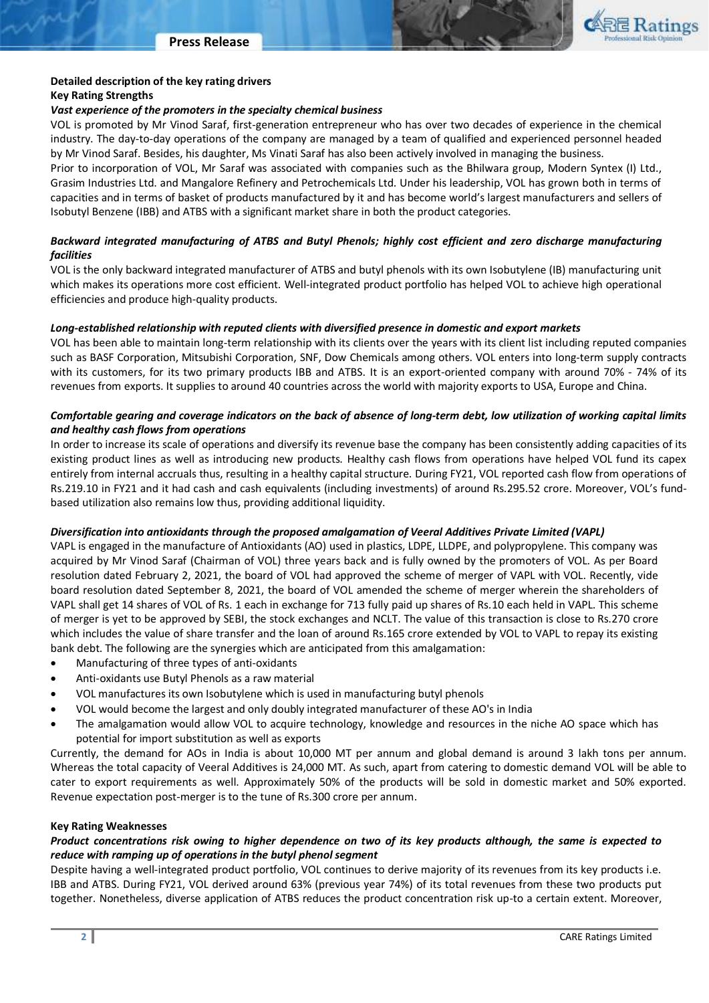

# **Detailed description of the key rating drivers**

### **Key Rating Strengths**

### *Vast experience of the promoters in the specialty chemical business*

VOL is promoted by Mr Vinod Saraf, first-generation entrepreneur who has over two decades of experience in the chemical industry. The day-to-day operations of the company are managed by a team of qualified and experienced personnel headed by Mr Vinod Saraf. Besides, his daughter, Ms Vinati Saraf has also been actively involved in managing the business.

Prior to incorporation of VOL, Mr Saraf was associated with companies such as the Bhilwara group, Modern Syntex (I) Ltd., Grasim Industries Ltd. and Mangalore Refinery and Petrochemicals Ltd. Under his leadership, VOL has grown both in terms of capacities and in terms of basket of products manufactured by it and has become world's largest manufacturers and sellers of Isobutyl Benzene (IBB) and ATBS with a significant market share in both the product categories.

# *Backward integrated manufacturing of ATBS and Butyl Phenols; highly cost efficient and zero discharge manufacturing facilities*

VOL is the only backward integrated manufacturer of ATBS and butyl phenols with its own Isobutylene (IB) manufacturing unit which makes its operations more cost efficient. Well-integrated product portfolio has helped VOL to achieve high operational efficiencies and produce high-quality products.

# *Long-established relationship with reputed clients with diversified presence in domestic and export markets*

VOL has been able to maintain long-term relationship with its clients over the years with its client list including reputed companies such as BASF Corporation, Mitsubishi Corporation, SNF, Dow Chemicals among others. VOL enters into long-term supply contracts with its customers, for its two primary products IBB and ATBS. It is an export-oriented company with around 70% - 74% of its revenues from exports. It supplies to around 40 countries across the world with majority exports to USA, Europe and China.

# *Comfortable gearing and coverage indicators on the back of absence of long-term debt, low utilization of working capital limits and healthy cash flows from operations*

In order to increase its scale of operations and diversify its revenue base the company has been consistently adding capacities of its existing product lines as well as introducing new products. Healthy cash flows from operations have helped VOL fund its capex entirely from internal accruals thus, resulting in a healthy capital structure. During FY21, VOL reported cash flow from operations of Rs.219.10 in FY21 and it had cash and cash equivalents (including investments) of around Rs.295.52 crore. Moreover, VOL's fundbased utilization also remains low thus, providing additional liquidity.

# *Diversification into antioxidants through the proposed amalgamation of Veeral Additives Private Limited (VAPL)*

VAPL is engaged in the manufacture of Antioxidants (AO) used in plastics, LDPE, LLDPE, and polypropylene. This company was acquired by Mr Vinod Saraf (Chairman of VOL) three years back and is fully owned by the promoters of VOL. As per Board resolution dated February 2, 2021, the board of VOL had approved the scheme of merger of VAPL with VOL. Recently, vide board resolution dated September 8, 2021, the board of VOL amended the scheme of merger wherein the shareholders of VAPL shall get 14 shares of VOL of Rs. 1 each in exchange for 713 fully paid up shares of Rs.10 each held in VAPL. This scheme of merger is yet to be approved by SEBI, the stock exchanges and NCLT. The value of this transaction is close to Rs.270 crore which includes the value of share transfer and the loan of around Rs.165 crore extended by VOL to VAPL to repay its existing bank debt. The following are the synergies which are anticipated from this amalgamation:

- Manufacturing of three types of anti-oxidants
- Anti-oxidants use Butyl Phenols as a raw material
- VOL manufactures its own Isobutylene which is used in manufacturing butyl phenols
- VOL would become the largest and only doubly integrated manufacturer of these AO's in India
- The amalgamation would allow VOL to acquire technology, knowledge and resources in the niche AO space which has potential for import substitution as well as exports

Currently, the demand for AOs in India is about 10,000 MT per annum and global demand is around 3 lakh tons per annum. Whereas the total capacity of Veeral Additives is 24,000 MT. As such, apart from catering to domestic demand VOL will be able to cater to export requirements as well. Approximately 50% of the products will be sold in domestic market and 50% exported. Revenue expectation post-merger is to the tune of Rs.300 crore per annum.

#### **Key Rating Weaknesses**

# *Product concentrations risk owing to higher dependence on two of its key products although, the same is expected to reduce with ramping up of operations in the butyl phenol segment*

Despite having a well-integrated product portfolio, VOL continues to derive majority of its revenues from its key products i.e. IBB and ATBS. During FY21, VOL derived around 63% (previous year 74%) of its total revenues from these two products put together. Nonetheless, diverse application of ATBS reduces the product concentration risk up-to a certain extent. Moreover,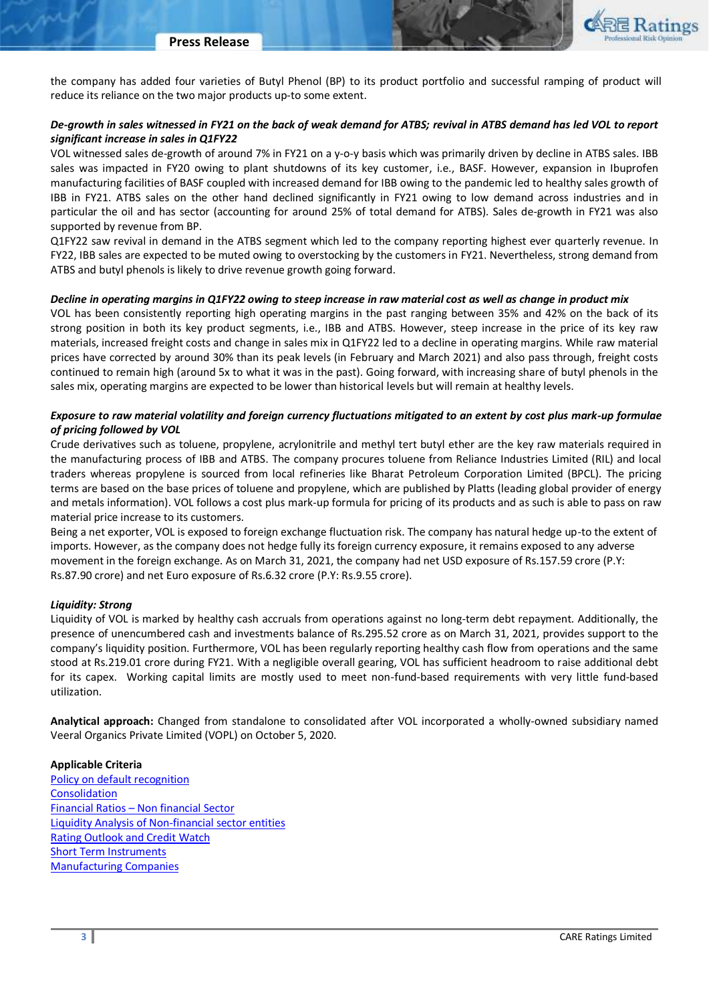the company has added four varieties of Butyl Phenol (BP) to its product portfolio and successful ramping of product will reduce its reliance on the two major products up-to some extent.

# *De-growth in sales witnessed in FY21 on the back of weak demand for ATBS; revival in ATBS demand has led VOL to report significant increase in sales in Q1FY22*

VOL witnessed sales de-growth of around 7% in FY21 on a y-o-y basis which was primarily driven by decline in ATBS sales. IBB sales was impacted in FY20 owing to plant shutdowns of its key customer, i.e., BASF. However, expansion in Ibuprofen manufacturing facilities of BASF coupled with increased demand for IBB owing to the pandemic led to healthy sales growth of IBB in FY21. ATBS sales on the other hand declined significantly in FY21 owing to low demand across industries and in particular the oil and has sector (accounting for around 25% of total demand for ATBS). Sales de-growth in FY21 was also supported by revenue from BP.

Q1FY22 saw revival in demand in the ATBS segment which led to the company reporting highest ever quarterly revenue. In FY22, IBB sales are expected to be muted owing to overstocking by the customers in FY21. Nevertheless, strong demand from ATBS and butyl phenols is likely to drive revenue growth going forward.

# *Decline in operating margins in Q1FY22 owing to steep increase in raw material cost as well as change in product mix*

VOL has been consistently reporting high operating margins in the past ranging between 35% and 42% on the back of its strong position in both its key product segments, i.e., IBB and ATBS. However, steep increase in the price of its key raw materials, increased freight costs and change in sales mix in Q1FY22 led to a decline in operating margins. While raw material prices have corrected by around 30% than its peak levels (in February and March 2021) and also pass through, freight costs continued to remain high (around 5x to what it was in the past). Going forward, with increasing share of butyl phenols in the sales mix, operating margins are expected to be lower than historical levels but will remain at healthy levels.

# *Exposure to raw material volatility and foreign currency fluctuations mitigated to an extent by cost plus mark-up formulae of pricing followed by VOL*

Crude derivatives such as toluene, propylene, acrylonitrile and methyl tert butyl ether are the key raw materials required in the manufacturing process of IBB and ATBS. The company procures toluene from Reliance Industries Limited (RIL) and local traders whereas propylene is sourced from local refineries like Bharat Petroleum Corporation Limited (BPCL). The pricing terms are based on the base prices of toluene and propylene, which are published by Platts (leading global provider of energy and metals information). VOL follows a cost plus mark-up formula for pricing of its products and as such is able to pass on raw material price increase to its customers.

Being a net exporter, VOL is exposed to foreign exchange fluctuation risk. The company has natural hedge up-to the extent of imports. However, as the company does not hedge fully its foreign currency exposure, it remains exposed to any adverse movement in the foreign exchange. As on March 31, 2021, the company had net USD exposure of Rs.157.59 crore (P.Y: Rs.87.90 crore) and net Euro exposure of Rs.6.32 crore (P.Y: Rs.9.55 crore).

# *Liquidity: Strong*

Liquidity of VOL is marked by healthy cash accruals from operations against no long-term debt repayment. Additionally, the presence of unencumbered cash and investments balance of Rs.295.52 crore as on March 31, 2021, provides support to the company's liquidity position. Furthermore, VOL has been regularly reporting healthy cash flow from operations and the same stood at Rs.219.01 crore during FY21. With a negligible overall gearing, VOL has sufficient headroom to raise additional debt for its capex. Working capital limits are mostly used to meet non-fund-based requirements with very little fund-based utilization.

**Analytical approach:** Changed from standalone to consolidated after VOL incorporated a wholly-owned subsidiary named Veeral Organics Private Limited (VOPL) on October 5, 2020.

# **Applicable Criteria**

[Policy on default recognition](chrome-extension://efaidnbmnnnibpcajpcglclefindmkaj/viewer.html?pdfurl=https%3A%2F%2Fwww.careratings.com%2Fpdf%2Fresources%2FCARE%27s%2520Policy%2520on%2520Default%2520Recognition_Sep%25202021.pdf&clen=325615&chunk=true) [Consolidation](https://www.careratings.com/upload/NewsFiles/GetRated/Rating%20Methodology-Consolidation_October2020.pdf) Financial Ratios – [Non financial Sector](https://www.careratings.com/pdf/resources/Financial%20ratios%20-%20Non%20Financial%20Sector_March2021.pdf) [Liquidity Analysis of Non-financial sector entities](https://www.careratings.com/pdf/resources/Liquidity%20Analysis%20of%20Non%20-%20Financial%20Sector%20entities_May2020.pdf) [Rating Outlook and Credit Watch](https://www.careratings.com/pdf/resources/Rating%20Outlook%20and%20credit%20watch_May2020.pdf) [Short Term Instruments](https://www.careratings.com/upload/NewsFiles/GetRated/Short%20Term%20Instruments%20_February2021.pdf) [Manufacturing Companies](https://www.careratings.com/upload/NewsFiles/GetRated/Rating%20Methodology-Manufacturing%20Companies_December2020.pdf)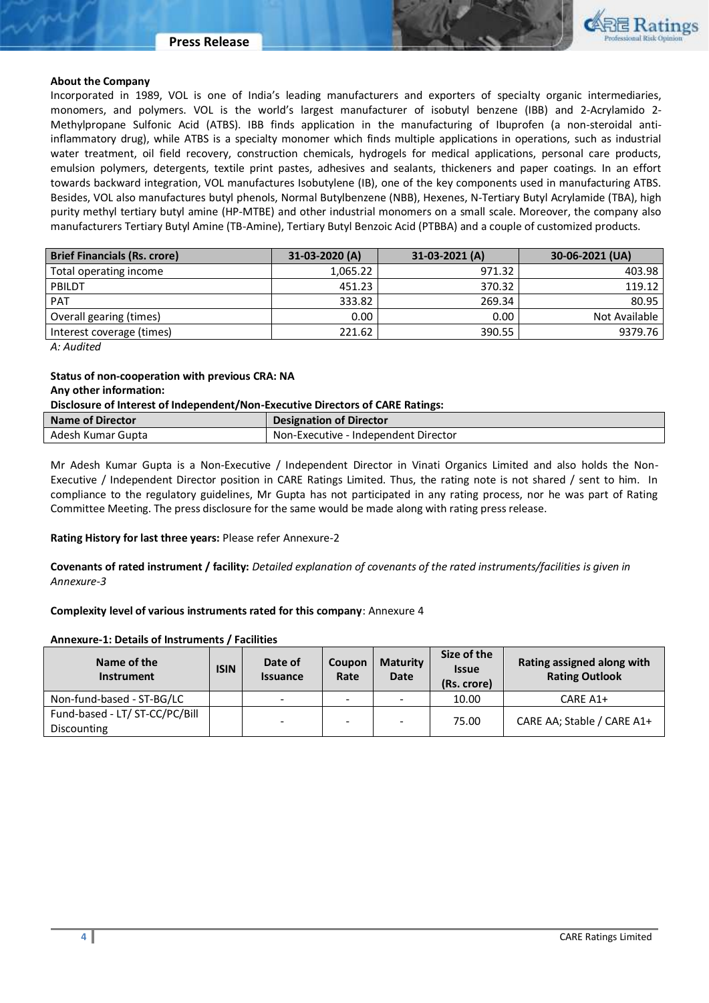#### **Press Release**



#### **About the Company**

Incorporated in 1989, VOL is one of India's leading manufacturers and exporters of specialty organic intermediaries, monomers, and polymers. VOL is the world's largest manufacturer of isobutyl benzene (IBB) and 2-Acrylamido 2- Methylpropane Sulfonic Acid (ATBS). IBB finds application in the manufacturing of Ibuprofen (a non-steroidal antiinflammatory drug), while ATBS is a specialty monomer which finds multiple applications in operations, such as industrial water treatment, oil field recovery, construction chemicals, hydrogels for medical applications, personal care products, emulsion polymers, detergents, textile print pastes, adhesives and sealants, thickeners and paper coatings. In an effort towards backward integration, VOL manufactures Isobutylene (IB), one of the key components used in manufacturing ATBS. Besides, VOL also manufactures butyl phenols, Normal Butylbenzene (NBB), Hexenes, N-Tertiary Butyl Acrylamide (TBA), high purity methyl tertiary butyl amine (HP-MTBE) and other industrial monomers on a small scale. Moreover, the company also manufacturers Tertiary Butyl Amine (TB-Amine), Tertiary Butyl Benzoic Acid (PTBBA) and a couple of customized products.

| <b>Brief Financials (Rs. crore)</b> | $31-03-2020(A)$ | 31-03-2021 (A) | 30-06-2021 (UA) |
|-------------------------------------|-----------------|----------------|-----------------|
| Total operating income              | 1,065.22        | 971.32         | 403.98          |
| PBILDT                              | 451.23          | 370.32         | 119.12          |
| <b>PAT</b>                          | 333.82          | 269.34         | 80.95           |
| Overall gearing (times)             | 0.00            | 0.00           | Not Available   |
| Interest coverage (times)           | 221.62          | 390.55         | 9379.76         |

*A: Audited*

# **Status of non-cooperation with previous CRA: NA**

### **Any other information:**

#### **Disclosure of Interest of Independent/Non-Executive Directors of CARE Ratings:**

| <b>Name of Director</b> | <b>Designation of Director</b>       |
|-------------------------|--------------------------------------|
| Adesh Kumar Gupta       | Non-Executive - Independent Director |

Mr Adesh Kumar Gupta is a Non-Executive / Independent Director in Vinati Organics Limited and also holds the Non-Executive / Independent Director position in CARE Ratings Limited. Thus, the rating note is not shared / sent to him. In compliance to the regulatory guidelines, Mr Gupta has not participated in any rating process, nor he was part of Rating Committee Meeting. The press disclosure for the same would be made along with rating press release.

#### **Rating History for last three years:** Please refer Annexure-2

**Covenants of rated instrument / facility:** *Detailed explanation of covenants of the rated instruments/facilities is given in Annexure-3*

#### **Complexity level of various instruments rated for this company**: Annexure 4

#### **Annexure-1: Details of Instruments / Facilities**

| Name of the<br><b>Instrument</b>              | <b>ISIN</b> | Date of<br><b>Issuance</b> | Coupon<br>Rate           | <b>Maturity</b><br><b>Date</b> | Size of the<br><b>Issue</b><br>(Rs. crore) | Rating assigned along with<br><b>Rating Outlook</b> |
|-----------------------------------------------|-------------|----------------------------|--------------------------|--------------------------------|--------------------------------------------|-----------------------------------------------------|
| Non-fund-based - ST-BG/LC                     |             | $\sim$                     | $\overline{\phantom{a}}$ |                                | 10.00                                      | CARE A1+                                            |
| Fund-based - LT/ ST-CC/PC/Bill<br>Discounting |             | $\overline{\phantom{a}}$   | $\overline{\phantom{a}}$ |                                | 75.00                                      | CARE AA; Stable / CARE A1+                          |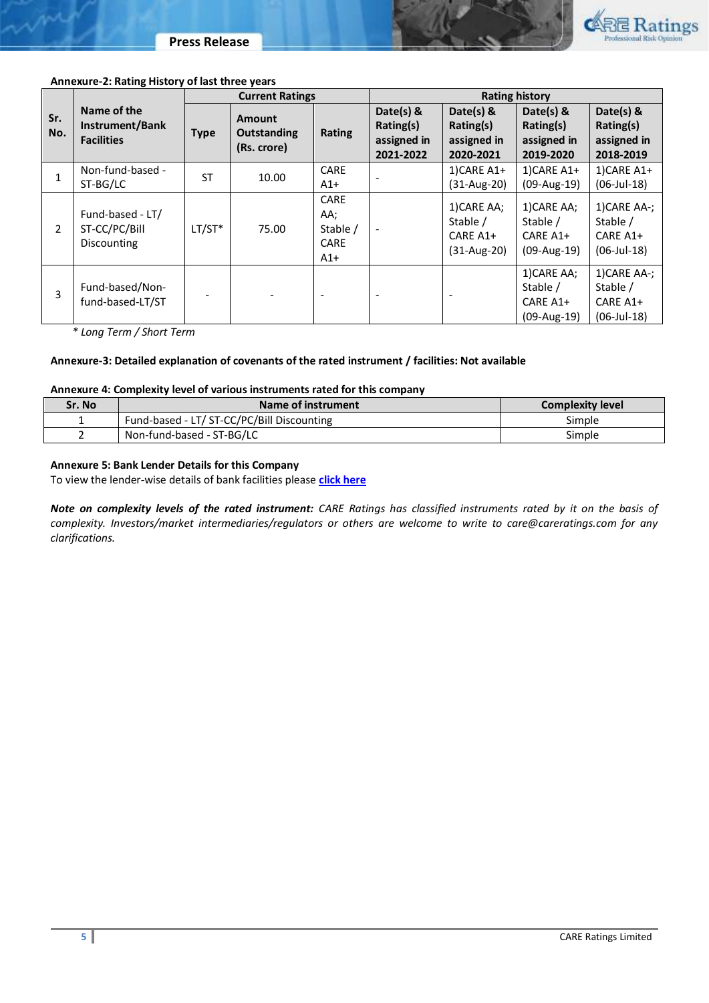



#### **Annexure-2: Rating History of last three years**

|                |                                                     | <b>Current Ratings</b> |                                             |                                                        | <b>Rating history</b>                              |                                                    |                                                      |                                                        |
|----------------|-----------------------------------------------------|------------------------|---------------------------------------------|--------------------------------------------------------|----------------------------------------------------|----------------------------------------------------|------------------------------------------------------|--------------------------------------------------------|
| Sr.<br>No.     | Name of the<br>Instrument/Bank<br><b>Facilities</b> | <b>Type</b>            | Amount<br><b>Outstanding</b><br>(Rs. crore) | <b>Rating</b>                                          | Date(s) &<br>Rating(s)<br>assigned in<br>2021-2022 | Date(s) &<br>Rating(s)<br>assigned in<br>2020-2021 | Date(s) &<br>Rating(s)<br>assigned in<br>2019-2020   | Date(s) &<br>Rating(s)<br>assigned in<br>2018-2019     |
| 1              | Non-fund-based -<br>ST-BG/LC                        | <b>ST</b>              | 10.00                                       | CARE<br>$A1+$                                          |                                                    | $1)$ CARE A1+<br>$(31-Aug-20)$                     | $1)$ CARE A1+<br>(09-Aug-19)                         | $1)$ CARE A1+<br>$(06$ -Jul-18)                        |
| $\overline{2}$ | Fund-based - LT/<br>ST-CC/PC/Bill<br>Discounting    | $LT/ST*$               | 75.00                                       | <b>CARE</b><br>AA;<br>Stable /<br><b>CARE</b><br>$A1+$ |                                                    | 1) CARE AA;<br>Stable /<br>CARE A1+<br>(31-Aug-20) | 1) CARE AA;<br>Stable /<br>CARE A1+<br>$(09-Aug-19)$ | 1) CARE AA-;<br>Stable /<br>CARE A1+<br>$(06$ -Jul-18) |
| 3              | Fund-based/Non-<br>fund-based-LT/ST                 |                        |                                             |                                                        |                                                    |                                                    | 1) CARE AA;<br>Stable /<br>CARE A1+<br>$(09-Aug-19)$ | 1) CARE AA-;<br>Stable /<br>CARE A1+<br>$(06$ -Jul-18) |

*\* Long Term / Short Term*

### **Annexure-3: Detailed explanation of covenants of the rated instrument / facilities: Not available**

### **Annexure 4: Complexity level of various instruments rated for this company**

| Sr. No | Name of instrument                         | <b>Complexity level</b> |
|--------|--------------------------------------------|-------------------------|
|        | Fund-based - LT/ ST-CC/PC/Bill Discounting | Simple                  |
|        | Non-fund-based - ST-BG/LC                  | Simple                  |

# **Annexure 5: Bank Lender Details for this Company**

To view the lender-wise details of bank facilities please **[click here](https://www.careratings.com/Bankdetails.aspx?Id=HrUWJrL9kZTVhccakU4CfQ==)**

*Note on complexity levels of the rated instrument: CARE Ratings has classified instruments rated by it on the basis of complexity. Investors/market intermediaries/regulators or others are welcome to write to care@careratings.com for any clarifications.*